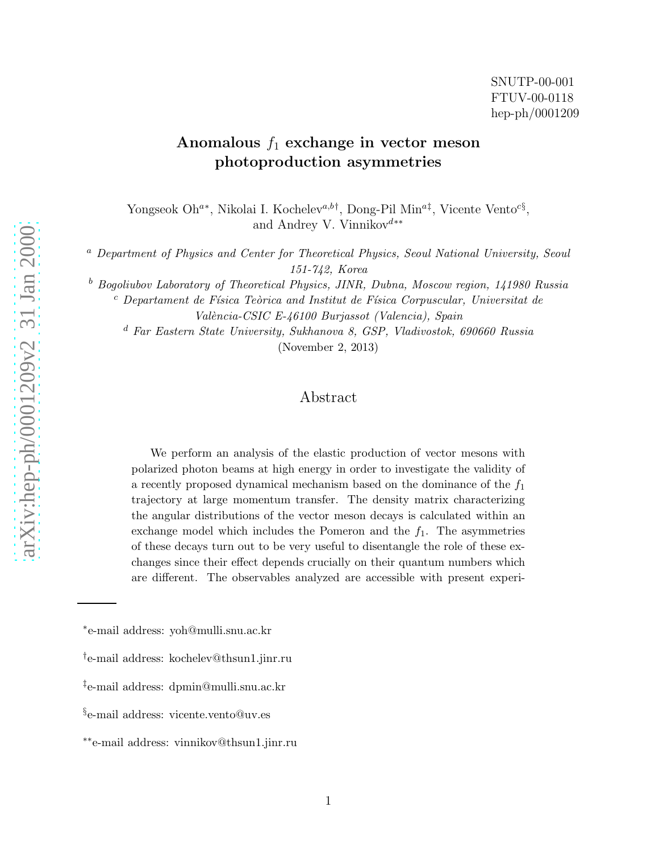## Anomalous  $f_1$  exchange in vector meson photoproduction asymmetries

Yongseok Oh<sup>a\*</sup>, Nikolai I. Kochelev<sup>a,b†</sup>, Dong-Pil Min<sup>a‡</sup>, Vicente Vento<sup>c§</sup>, and Andrey V. Vinnikov d∗∗

<sup>a</sup> Department of Physics and Center for Theoretical Physics, Seoul National University, Seoul 151-742, Korea

 $b$  Bogoliubov Laboratory of Theoretical Physics, JINR, Dubna, Moscow region, 141980 Russia

 $c$  Departament de Física Teòrica and Institut de Física Corpuscular, Universitat de

València-CSIC E-46100 Burjassot (Valencia), Spain

<sup>d</sup> Far Eastern State University, Sukhanova 8, GSP, Vladivostok, 690660 Russia (November 2, 2013)

## Abstract

We perform an analysis of the elastic production of vector mesons with polarized photon beams at high energy in order to investigate the validity of a recently proposed dynamical mechanism based on the dominance of the  $f_1$ trajectory at large momentum transfer. The density matrix characterizing the angular distributions of the vector meson decays is calculated within an exchange model which includes the Pomeron and the  $f_1$ . The asymmetries of these decays turn out to be very useful to disentangle the role of these exchanges since their effect depends crucially on their quantum numbers which are different. The observables analyzed are accessible with present experi-

<sup>∗</sup> e-mail address: yoh@mulli.snu.ac.kr

<sup>†</sup> e-mail address: kochelev@thsun1.jinr.ru

<sup>‡</sup> e-mail address: dpmin@mulli.snu.ac.kr

<sup>§</sup> e-mail address: vicente.vento@uv.es

<sup>∗∗</sup>e-mail address: vinnikov@thsun1.jinr.ru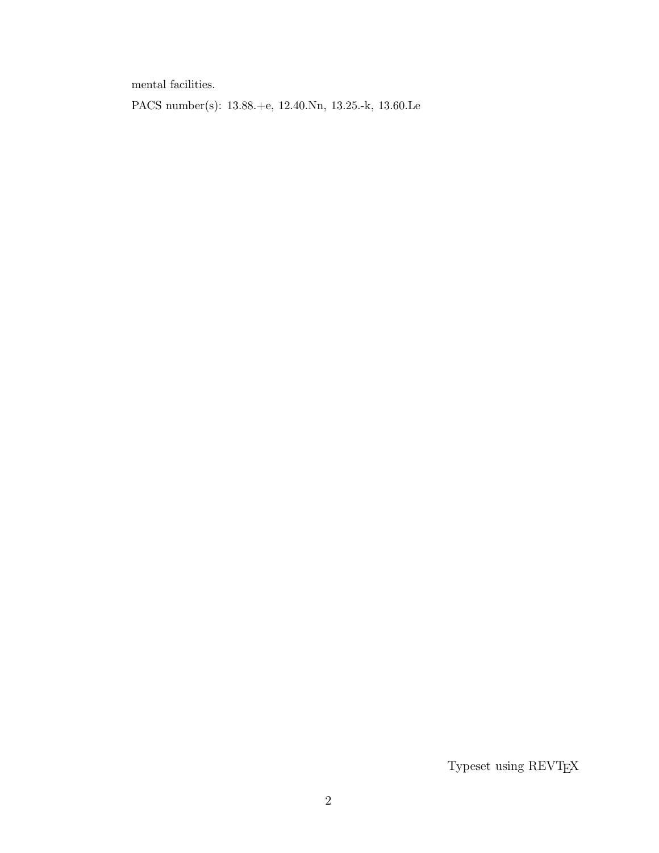mental facilities.

PACS number(s): 13.88.+e, 12.40.Nn, 13.25.-k, 13.60.Le

Typeset using REVT<sub>E</sub>X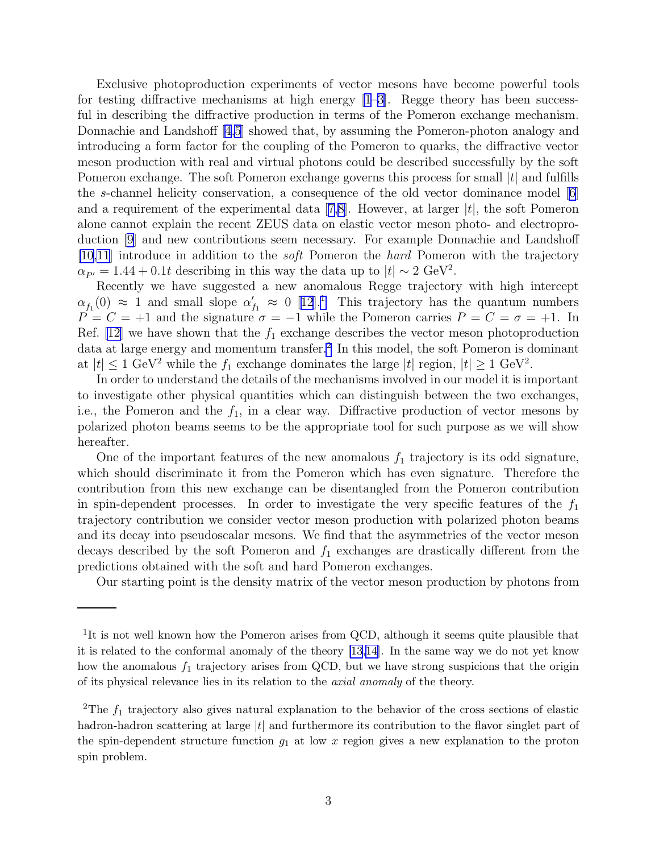Exclusive photoproduction experiments of vector mesons have become powerful tools for testing diffractive mechanisms at high energy  $[1-3]$  $[1-3]$ . Regge theory has been successful in describing the diffractive production in terms of the Pomeron exchange mechanism. Donnachie and Landshoff [\[4,5](#page-7-0)] showed that, by assuming the Pomeron-photon analogy and introducing a form factor for the coupling of the Pomeron to quarks, the diffractive vector meson production with real and virtual photons could be described successfully by the soft Pomeron exchange. The soft Pomeron exchange governs this process for small  $|t|$  and fulfills the s-channel helicity conservation, a consequence of the old vector dominance model  $|6|$ anda requirement of the experimental data [[7,8\]](#page-7-0). However, at larger  $|t|$ , the soft Pomeron alone cannot explain the recent ZEUS data on elastic vector meson photo- and electroproduction [\[9](#page-7-0)] and new contributions seem necessary. For example Donnachie and Landshoff [\[10,11](#page-7-0)] introduce in addition to the soft Pomeron the hard Pomeron with the trajectory  $\alpha_{P'} = 1.44 + 0.1t$  describing in this way the data up to  $|t| \sim 2 \text{ GeV}^2$ .

Recently we have suggested a new anomalous Regge trajectory with high intercept  $\alpha_{f_1}(0) \approx 1$  $\alpha_{f_1}(0) \approx 1$  $\alpha_{f_1}(0) \approx 1$  and small slope  $\alpha'_{f_1} \approx 0$  [[12](#page-7-0)].<sup>1</sup> This trajectory has the quantum numbers  $P = C = +1$  and the signature  $\sigma = -1$  while the Pomeron carries  $P = C = \sigma = +1$ . In Ref. [\[12\]](#page-7-0) we have shown that the  $f_1$  exchange describes the vector meson photoproduction data at large energy and momentum transfer.<sup>2</sup> In this model, the soft Pomeron is dominant at  $|t| \le 1$  GeV<sup>2</sup> while the  $f_1$  exchange dominates the large  $|t|$  region,  $|t| \ge 1$  GeV<sup>2</sup>.

In order to understand the details of the mechanisms involved in our model it is important to investigate other physical quantities which can distinguish between the two exchanges, i.e., the Pomeron and the  $f_1$ , in a clear way. Diffractive production of vector mesons by polarized photon beams seems to be the appropriate tool for such purpose as we will show hereafter.

One of the important features of the new anomalous  $f_1$  trajectory is its odd signature, which should discriminate it from the Pomeron which has even signature. Therefore the contribution from this new exchange can be disentangled from the Pomeron contribution in spin-dependent processes. In order to investigate the very specific features of the  $f_1$ trajectory contribution we consider vector meson production with polarized photon beams and its decay into pseudoscalar mesons. We find that the asymmetries of the vector meson decays described by the soft Pomeron and  $f_1$  exchanges are drastically different from the predictions obtained with the soft and hard Pomeron exchanges.

Our starting point is the density matrix of the vector meson production by photons from

<sup>&</sup>lt;sup>1</sup>It is not well known how the Pomeron arises from QCD, although it seems quite plausible that it is related to the conformal anomaly of the theory [\[13,14\]](#page-7-0). In the same way we do not yet know how the anomalous  $f_1$  trajectory arises from QCD, but we have strong suspicions that the origin of its physical relevance lies in its relation to the axial anomaly of the theory.

<sup>&</sup>lt;sup>2</sup>The  $f_1$  trajectory also gives natural explanation to the behavior of the cross sections of elastic hadron-hadron scattering at large  $|t|$  and furthermore its contribution to the flavor singlet part of the spin-dependent structure function  $g_1$  at low x region gives a new explanation to the proton spin problem.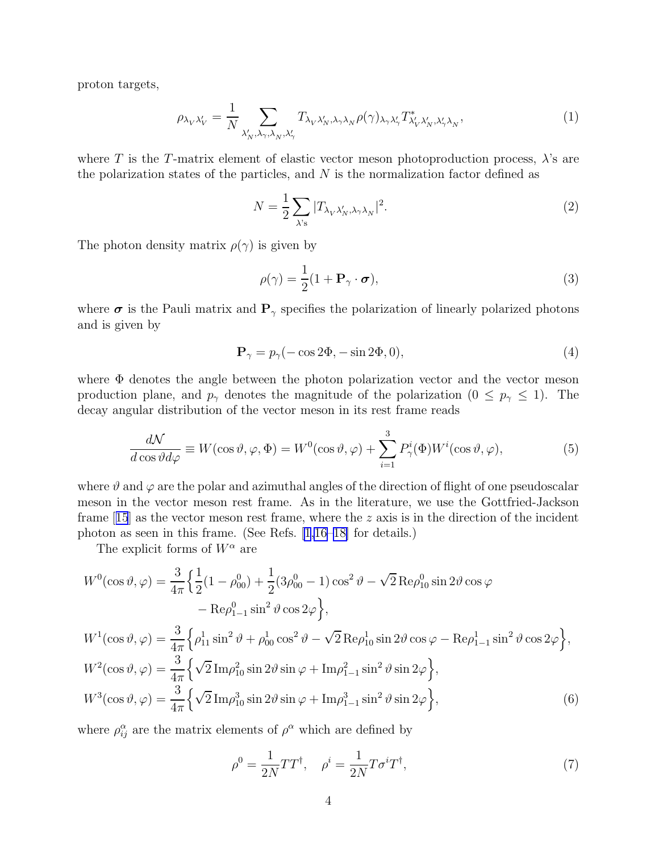<span id="page-3-0"></span>proton targets,

$$
\rho_{\lambda_V \lambda'_V} = \frac{1}{N} \sum_{\lambda'_N, \lambda_\gamma, \lambda_N, \lambda'_\gamma} T_{\lambda_V \lambda'_N, \lambda_\gamma \lambda_N} \rho(\gamma)_{\lambda_\gamma \lambda'_\gamma} T^*_{\lambda'_V \lambda'_N, \lambda'_\gamma \lambda_N},\tag{1}
$$

where T is the T-matrix element of elastic vector meson photoproduction process,  $\lambda$ 's are the polarization states of the particles, and  $N$  is the normalization factor defined as

$$
N = \frac{1}{2} \sum_{\lambda's} |T_{\lambda_V \lambda'_N, \lambda_\gamma \lambda_N}|^2.
$$
 (2)

The photon density matrix  $\rho(\gamma)$  is given by

$$
\rho(\gamma) = \frac{1}{2}(1 + \mathbf{P}_{\gamma} \cdot \boldsymbol{\sigma}),\tag{3}
$$

where  $\sigma$  is the Pauli matrix and  $P_{\gamma}$  specifies the polarization of linearly polarized photons and is given by

$$
\mathbf{P}_{\gamma} = p_{\gamma}(-\cos 2\Phi, -\sin 2\Phi, 0),\tag{4}
$$

where Φ denotes the angle between the photon polarization vector and the vector meson production plane, and  $p_{\gamma}$  denotes the magnitude of the polarization  $(0 \leq p_{\gamma} \leq 1)$ . The decay angular distribution of the vector meson in its rest frame reads

$$
\frac{d\mathcal{N}}{d\cos\vartheta d\varphi} \equiv W(\cos\vartheta, \varphi, \Phi) = W^0(\cos\vartheta, \varphi) + \sum_{i=1}^3 P^i_\gamma(\Phi) W^i(\cos\vartheta, \varphi),\tag{5}
$$

where  $\vartheta$  and  $\varphi$  are the polar and azimuthal angles of the direction of flight of one pseudoscalar meson in the vector meson rest frame. As in the literature, we use the Gottfried-Jackson frame $[15]$  $[15]$  $[15]$  as the vector meson rest frame, where the z axis is in the direction of the incident photon as seen in this frame. (See Refs. [\[1,16–18\]](#page-7-0) for details.)

The explicit forms of  $W^{\alpha}$  are

$$
W^{0}(\cos\vartheta, \varphi) = \frac{3}{4\pi} \Big\{ \frac{1}{2} (1 - \rho_{00}^{0}) + \frac{1}{2} (3\rho_{00}^{0} - 1) \cos^{2}\vartheta - \sqrt{2} \operatorname{Re}\rho_{10}^{0} \sin 2\vartheta \cos\varphi - \operatorname{Re}\rho_{1-1}^{0} \sin^{2}\vartheta \cos 2\varphi \Big\},
$$
  

$$
W^{1}(\cos\vartheta, \varphi) = \frac{3}{4\pi} \Big\{ \rho_{11}^{1} \sin^{2}\vartheta + \rho_{00}^{1} \cos^{2}\vartheta - \sqrt{2} \operatorname{Re}\rho_{10}^{1} \sin 2\vartheta \cos\varphi - \operatorname{Re}\rho_{1-1}^{1} \sin^{2}\vartheta \cos 2\varphi \Big\},
$$
  

$$
W^{2}(\cos\vartheta, \varphi) = \frac{3}{4\pi} \Big\{ \sqrt{2} \operatorname{Im}\rho_{10}^{2} \sin 2\vartheta \sin\varphi + \operatorname{Im}\rho_{1-1}^{2} \sin^{2}\vartheta \sin 2\varphi \Big\},
$$
  

$$
W^{3}(\cos\vartheta, \varphi) = \frac{3}{4\pi} \Big\{ \sqrt{2} \operatorname{Im}\rho_{10}^{3} \sin 2\vartheta \sin\varphi + \operatorname{Im}\rho_{1-1}^{3} \sin^{2}\vartheta \sin 2\varphi \Big\},
$$
  
(6)

where  $\rho_{ij}^{\alpha}$  are the matrix elements of  $\rho^{\alpha}$  which are defined by

$$
\rho^0 = \frac{1}{2N}TT^{\dagger}, \quad \rho^i = \frac{1}{2N}T\sigma^iT^{\dagger},\tag{7}
$$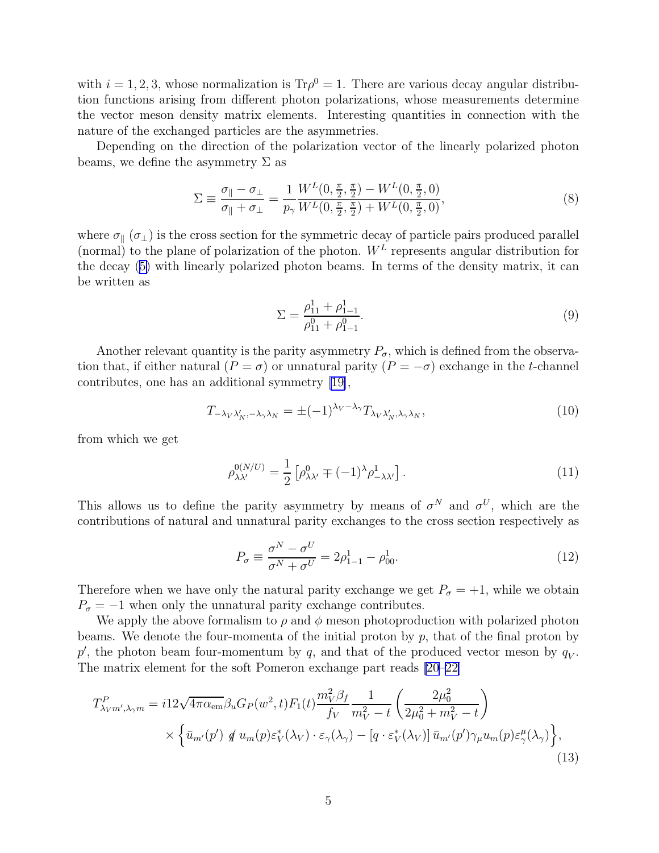<span id="page-4-0"></span>with  $i = 1, 2, 3$ , whose normalization is  $Tr \rho^0 = 1$ . There are various decay angular distribution functions arising from different photon polarizations, whose measurements determine the vector meson density matrix elements. Interesting quantities in connection with the nature of the exchanged particles are the asymmetries.

Depending on the direction of the polarization vector of the linearly polarized photon beams, we define the asymmetry  $\Sigma$  as

$$
\Sigma \equiv \frac{\sigma_{\parallel} - \sigma_{\perp}}{\sigma_{\parallel} + \sigma_{\perp}} = \frac{1}{p_{\gamma}} \frac{W^L(0, \frac{\pi}{2}, \frac{\pi}{2}) - W^L(0, \frac{\pi}{2}, 0)}{W^L(0, \frac{\pi}{2}, \frac{\pi}{2}) + W^L(0, \frac{\pi}{2}, 0)},
$$
\n(8)

where  $\sigma_{\parallel}$  ( $\sigma_{\perp}$ ) is the cross section for the symmetric decay of particle pairs produced parallel (normal) to the plane of polarization of the photon.  $W^L$  represents angular distribution for the decay ([5\)](#page-3-0) with linearly polarized photon beams. In terms of the density matrix, it can be written as

$$
\Sigma = \frac{\rho_{11}^1 + \rho_{1-1}^1}{\rho_{11}^0 + \rho_{1-1}^0}.
$$
\n(9)

Another relevant quantity is the parity asymmetry  $P_{\sigma}$ , which is defined from the observation that, if either natural  $(P = \sigma)$  or unnatural parity  $(P = -\sigma)$  exchange in the t-channel contributes, one has an additional symmetry[[19\]](#page-7-0),

$$
T_{-\lambda_V \lambda'_N, -\lambda_\gamma \lambda_N} = \pm (-1)^{\lambda_V - \lambda_\gamma} T_{\lambda_V \lambda'_N, \lambda_\gamma \lambda_N},\tag{10}
$$

from which we get

$$
\rho_{\lambda\lambda'}^{0(N/U)} = \frac{1}{2} \left[ \rho_{\lambda\lambda'}^0 \mp (-1)^\lambda \rho_{-\lambda\lambda'}^1 \right]. \tag{11}
$$

This allows us to define the parity asymmetry by means of  $\sigma^N$  and  $\sigma^U$ , which are the contributions of natural and unnatural parity exchanges to the cross section respectively as

$$
P_{\sigma} \equiv \frac{\sigma^N - \sigma^U}{\sigma^N + \sigma^U} = 2\rho_{1-1}^1 - \rho_{00}^1.
$$
 (12)

Therefore when we have only the natural parity exchange we get  $P_{\sigma} = +1$ , while we obtain  $P_{\sigma} = -1$  when only the unnatural parity exchange contributes.

We apply the above formalism to  $\rho$  and  $\phi$  meson photoproduction with polarized photon beams. We denote the four-momenta of the initial proton by  $p$ , that of the final proton by  $p'$ , the photon beam four-momentum by q, and that of the produced vector meson by  $q_V$ . The matrix element for the soft Pomeron exchange part reads [\[20–22\]](#page-7-0)

$$
T_{\lambda_{V}m',\lambda_{\gamma}m}^{P} = i12\sqrt{4\pi\alpha_{em}}\beta_{u}G_{P}(w^{2},t)F_{1}(t)\frac{m_{V}^{2}\beta_{f}}{f_{V}}\frac{1}{m_{V}^{2}-t}\left(\frac{2\mu_{0}^{2}}{2\mu_{0}^{2}+m_{V}^{2}-t}\right) \times \left\{\bar{u}_{m'}(p') \notin u_{m}(p)\varepsilon_{V}^{*}(\lambda_{V})\cdot\varepsilon_{\gamma}(\lambda_{\gamma}) - \left[q\cdot\varepsilon_{V}^{*}(\lambda_{V})\right]\bar{u}_{m'}(p')\gamma_{\mu}u_{m}(p)\varepsilon_{\gamma}^{\mu}(\lambda_{\gamma})\right\},\tag{13}
$$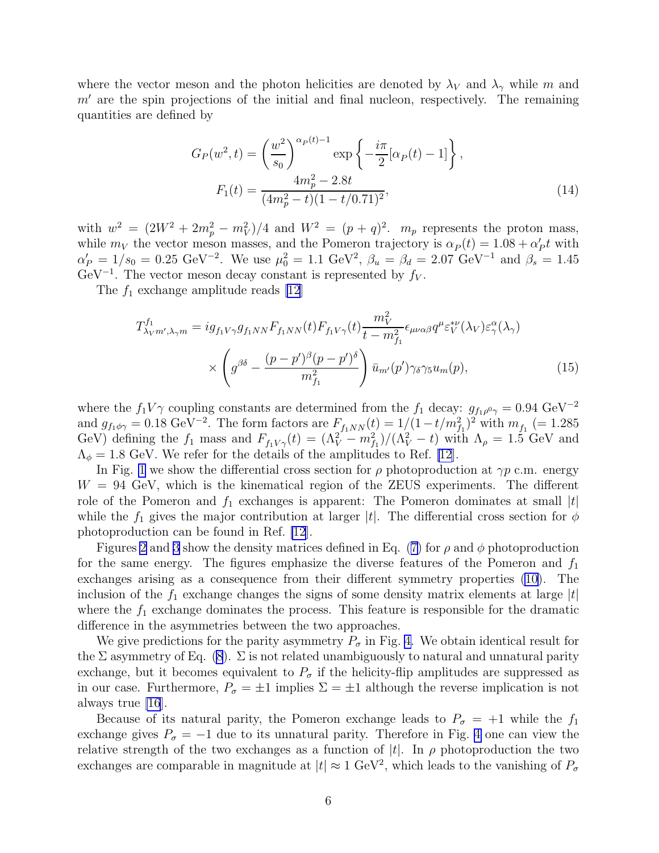where the vector meson and the photon helicities are denoted by  $\lambda_V$  and  $\lambda_\gamma$  while m and  $m'$  are the spin projections of the initial and final nucleon, respectively. The remaining quantities are defined by

$$
G_P(w^2, t) = \left(\frac{w^2}{s_0}\right)^{\alpha_P(t)-1} \exp\left\{-\frac{i\pi}{2}[\alpha_P(t) - 1]\right\},\
$$

$$
F_1(t) = \frac{4m_p^2 - 2.8t}{(4m_p^2 - t)(1 - t/0.71)^2},\
$$
(14)

with  $w^2 = (2W^2 + 2m_p^2 - m_V^2)/4$  and  $W^2 = (p+q)^2$ .  $m_p$  represents the proton mass, while  $m_V$  the vector meson masses, and the Pomeron trajectory is  $\alpha_P(t) = 1.08 + \alpha'_P t$  with  $\alpha'_P = 1/s_0 = 0.25 \text{ GeV}^{-2}$ . We use  $\mu_0^2 = 1.1 \text{ GeV}^2$ ,  $\beta_u = \beta_d = 2.07 \text{ GeV}^{-1}$  and  $\beta_s = 1.45$  $\text{GeV}^{-1}$ . The vector meson decay constant is represented by  $f_V$ .

The  $f_1$  exchange amplitude reads [\[12](#page-7-0)]

$$
T_{\lambda_{V}m',\lambda_{\gamma}m}^{f_1} = ig_{f_1V\gamma}g_{f_1NN}F_{f_1NN}(t)F_{f_1V\gamma}(t)\frac{m_V^2}{t-m_{f_1}^2}\epsilon_{\mu\nu\alpha\beta}q^{\mu}\varepsilon_{V}^{*\nu}(\lambda_{V})\varepsilon_{\gamma}^{\alpha}(\lambda_{\gamma})
$$

$$
\times \left(g^{\beta\delta} - \frac{(p-p')^{\beta}(p-p')^{\delta}}{m_{f_1}^2}\right)\bar{u}_{m'}(p')\gamma_{\delta}\gamma_{5}u_{m}(p), \tag{15}
$$

where the  $f_1 V \gamma$  coupling constants are determined from the  $f_1$  decay:  $g_{f_1 \rho^0 \gamma} = 0.94 \text{ GeV}^{-2}$ and  $g_{f_1\phi\gamma} = 0.18 \text{ GeV}^{-2}$ . The form factors are  $F_{f_1NN}(t) = 1/(1-t/m_{f_1}^2)^2$  with  $m_{f_1} = 1.285$ GeV) defining the  $f_1$  mass and  $F_{f_1V\gamma}(t) = (\Lambda_V^2 - m_{f_1}^2)/(\Lambda_V^2 - t)$  with  $\Lambda_\rho = 1.5$  GeV and  $\Lambda_{\phi} = 1.8$  GeV. We refer for the details of the amplitudes to Ref. [\[12](#page-7-0)].

In Fig. [1](#page-8-0) we show the differential cross section for  $\rho$  photoproduction at  $\gamma p$  c.m. energy  $W = 94$  GeV, which is the kinematical region of the ZEUS experiments. The different role of the Pomeron and  $f_1$  exchanges is apparent: The Pomeron dominates at small  $|t|$ while the  $f_1$  gives the major contribution at larger |t|. The differential cross section for  $\phi$ photoproduction can be found in Ref. [\[12](#page-7-0)].

Figures [2](#page-8-0) and [3](#page-9-0) show the density matrices defined in Eq. ([7\)](#page-3-0) for  $\rho$  and  $\phi$  photoproduction for the same energy. The figures emphasize the diverse features of the Pomeron and  $f_1$ exchanges arising as a consequence from their different symmetry properties [\(10\)](#page-4-0). The inclusion of the  $f_1$  exchange changes the signs of some density matrix elements at large  $|t|$ where the  $f_1$  exchange dominates the process. This feature is responsible for the dramatic difference in the asymmetries between the two approaches.

We give predictions for the parity asymmetry  $P_{\sigma}$  in Fig. [4.](#page-9-0) We obtain identical result for the  $\Sigma$  asymmetry of Eq. [\(8](#page-4-0)).  $\Sigma$  is not related unambiguously to natural and unnatural parity exchange, but it becomes equivalent to  $P_{\sigma}$  if the helicity-flip amplitudes are suppressed as in our case. Furthermore,  $P_{\sigma} = \pm 1$  implies  $\Sigma = \pm 1$  although the reverse implication is not always true [\[16](#page-7-0)].

Because of its natural parity, the Pomeron exchange leads to  $P_{\sigma} = +1$  while the  $f_1$ exchange gives  $P_{\sigma} = -1$  due to its unnatural parity. Therefore in Fig. [4](#page-9-0) one can view the relative strength of the two exchanges as a function of  $|t|$ . In  $\rho$  photoproduction the two exchanges are comparable in magnitude at  $|t| \approx 1 \text{ GeV}^2$ , which leads to the vanishing of  $P_{\sigma}$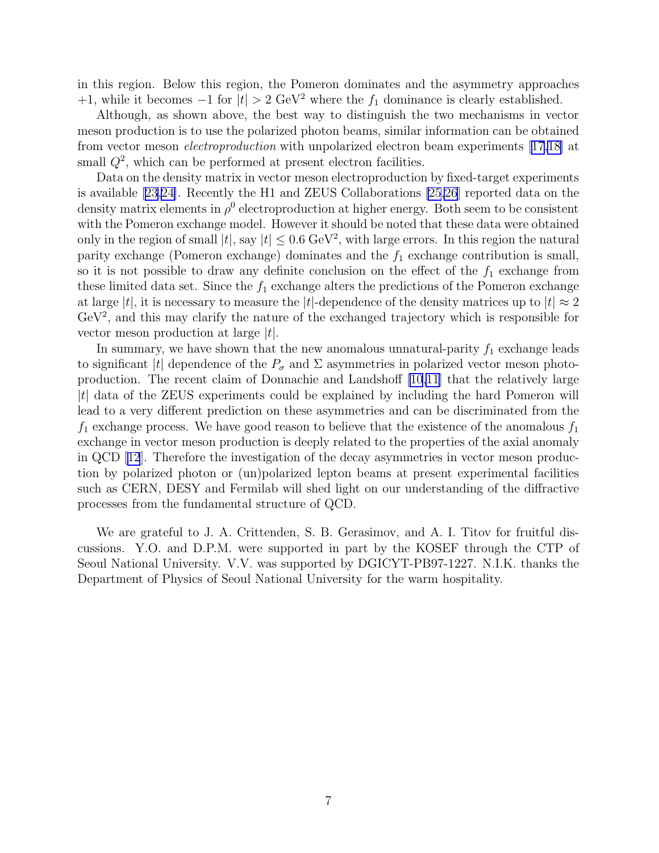in this region. Below this region, the Pomeron dominates and the asymmetry approaches +1, while it becomes  $-1$  for  $|t| > 2$  GeV<sup>2</sup> where the  $f_1$  dominance is clearly established.

Although, as shown above, the best way to distinguish the two mechanisms in vector meson production is to use the polarized photon beams, similar information can be obtained from vector meson electroproduction with unpolarized electron beam experiments [\[17,18\]](#page-7-0) at small  $Q^2$ , which can be performed at present electron facilities.

Data on the density matrix in vector meson electroproduction by fixed-target experiments is available [\[23,24\]](#page-7-0). Recently the H1 and ZEUS Collaborations [\[25,26](#page-7-0)] reported data on the density matrix elements in  $\rho^0$  electroproduction at higher energy. Both seem to be consistent with the Pomeron exchange model. However it should be noted that these data were obtained only in the region of small  $|t|$ , say  $|t| \leq 0.6 \text{ GeV}^2$ , with large errors. In this region the natural parity exchange (Pomeron exchange) dominates and the  $f_1$  exchange contribution is small, so it is not possible to draw any definite conclusion on the effect of the  $f_1$  exchange from these limited data set. Since the  $f_1$  exchange alters the predictions of the Pomeron exchange at large |t|, it is necessary to measure the |t|-dependence of the density matrices up to  $|t| \approx 2$  $GeV<sup>2</sup>$ , and this may clarify the nature of the exchanged trajectory which is responsible for vector meson production at large  $|t|$ .

In summary, we have shown that the new anomalous unnatural-parity  $f_1$  exchange leads to significant |t| dependence of the  $P_{\sigma}$  and  $\Sigma$  asymmetries in polarized vector meson photoproduction. The recent claim of Donnachie and Landshoff [\[10,11](#page-7-0)] that the relatively large |t| data of the ZEUS experiments could be explained by including the hard Pomeron will lead to a very different prediction on these asymmetries and can be discriminated from the  $f_1$  exchange process. We have good reason to believe that the existence of the anomalous  $f_1$ exchange in vector meson production is deeply related to the properties of the axial anomaly in QCD[[12](#page-7-0)]. Therefore the investigation of the decay asymmetries in vector meson production by polarized photon or (un)polarized lepton beams at present experimental facilities such as CERN, DESY and Fermilab will shed light on our understanding of the diffractive processes from the fundamental structure of QCD.

We are grateful to J. A. Crittenden, S. B. Gerasimov, and A. I. Titov for fruitful discussions. Y.O. and D.P.M. were supported in part by the KOSEF through the CTP of Seoul National University. V.V. was supported by DGICYT-PB97-1227. N.I.K. thanks the Department of Physics of Seoul National University for the warm hospitality.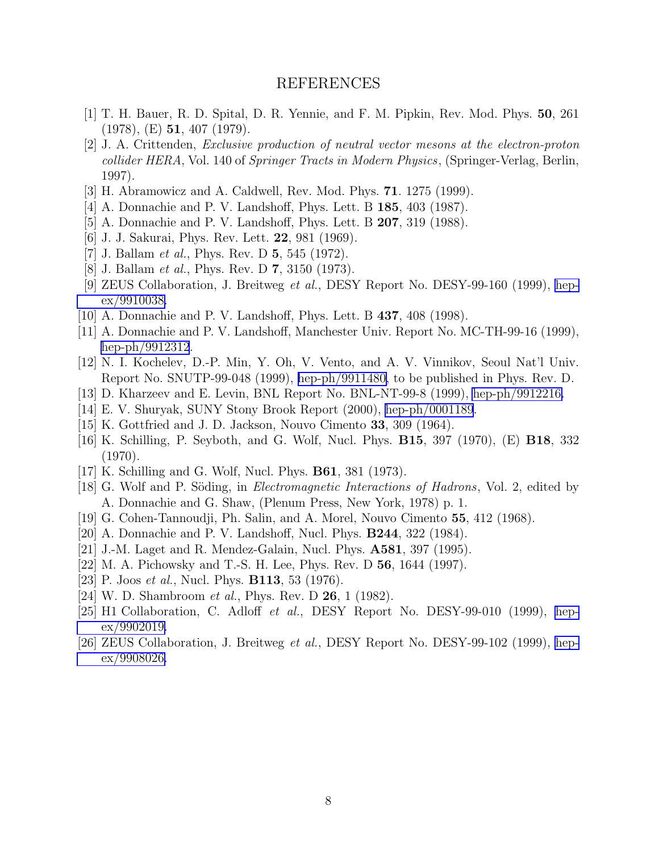## REFERENCES

- <span id="page-7-0"></span>[1] T. H. Bauer, R. D. Spital, D. R. Yennie, and F. M. Pipkin, Rev. Mod. Phys. 50, 261 (1978), (E) 51, 407 (1979).
- [2] J. A. Crittenden, Exclusive production of neutral vector mesons at the electron-proton collider HERA, Vol. 140 of Springer Tracts in Modern Physics, (Springer-Verlag, Berlin, 1997).
- [3] H. Abramowicz and A. Caldwell, Rev. Mod. Phys. 71. 1275 (1999).
- [4] A. Donnachie and P. V. Landshoff, Phys. Lett. B 185, 403 (1987).
- [5] A. Donnachie and P. V. Landshoff, Phys. Lett. B 207, 319 (1988).
- [6] J. J. Sakurai, Phys. Rev. Lett. 22, 981 (1969).
- [7] J. Ballam *et al.*, Phys. Rev. D  $5, 545$  (1972).
- [8] J. Ballam *et al.*, Phys. Rev. D **7**, 3150 (1973).
- [9] ZEUS Collaboration, J. Breitweg et al., DESY Report No. DESY-99-160 (1999), [hep](http://arxiv.org/abs/hep-ex/9910038)[ex/9910038.](http://arxiv.org/abs/hep-ex/9910038)
- [10] A. Donnachie and P. V. Landshoff, Phys. Lett. B 437, 408 (1998).
- [11] A. Donnachie and P. V. Landshoff, Manchester Univ. Report No. MC-TH-99-16 (1999), [hep-ph/9912312](http://arxiv.org/abs/hep-ph/9912312).
- [12] N. I. Kochelev, D.-P. Min, Y. Oh, V. Vento, and A. V. Vinnikov, Seoul Nat'l Univ. Report No. SNUTP-99-048 (1999), [hep-ph/9911480,](http://arxiv.org/abs/hep-ph/9911480) to be published in Phys. Rev. D.
- [13] D. Kharzeev and E. Levin, BNL Report No. BNL-NT-99-8 (1999), [hep-ph/9912216.](http://arxiv.org/abs/hep-ph/9912216)
- [14] E. V. Shuryak, SUNY Stony Brook Report (2000), [hep-ph/0001189](http://arxiv.org/abs/hep-ph/0001189).
- [15] K. Gottfried and J. D. Jackson, Nouvo Cimento 33, 309 (1964).
- [16] K. Schilling, P. Seyboth, and G. Wolf, Nucl. Phys. B15, 397 (1970), (E) B18, 332 (1970).
- [17] K. Schilling and G. Wolf, Nucl. Phys. B61, 381 (1973).
- [18] G. Wolf and P. Söding, in *Electromagnetic Interactions of Hadrons*, Vol. 2, edited by A. Donnachie and G. Shaw, (Plenum Press, New York, 1978) p. 1.
- [19] G. Cohen-Tannoudji, Ph. Salin, and A. Morel, Nouvo Cimento 55, 412 (1968).
- [20] A. Donnachie and P. V. Landshoff, Nucl. Phys. B244, 322 (1984).
- [21] J.-M. Laget and R. Mendez-Galain, Nucl. Phys. A581, 397 (1995).
- [22] M. A. Pichowsky and T.-S. H. Lee, Phys. Rev. D 56, 1644 (1997).
- [23] P. Joos *et al.*, Nucl. Phys. **B113**, 53 (1976).
- [24] W. D. Shambroom *et al.*, Phys. Rev. D **26**, 1 (1982).
- [25] H1 Collaboration, C. Adloff et al., DESY Report No. DESY-99-010 (1999), [hep](http://arxiv.org/abs/hep-ex/9902019)[ex/9902019.](http://arxiv.org/abs/hep-ex/9902019)
- [26] ZEUS Collaboration, J. Breitweg et al., DESY Report No. DESY-99-102 (1999), [hep](http://arxiv.org/abs/hep-ex/9908026)[ex/9908026.](http://arxiv.org/abs/hep-ex/9908026)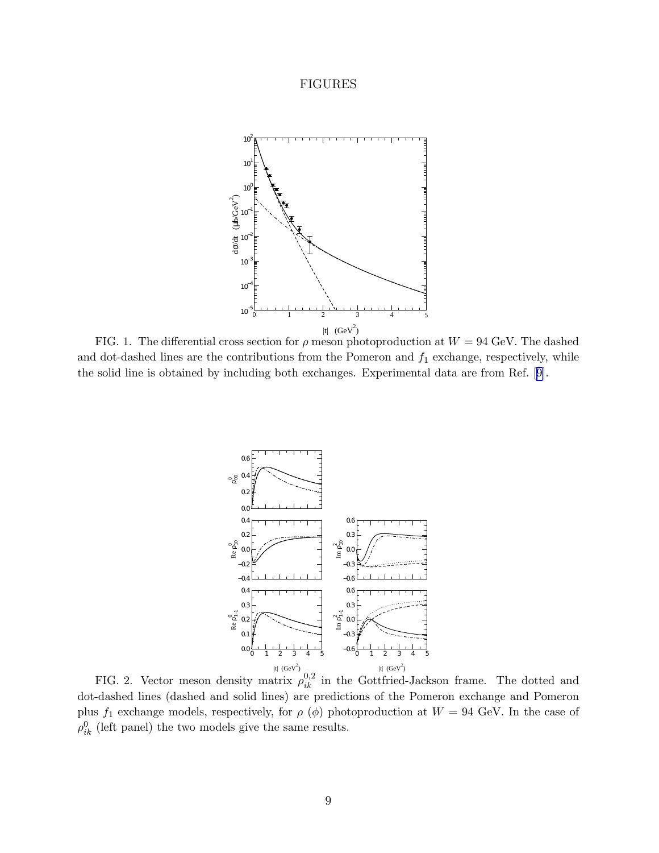## FIGURES

<span id="page-8-0"></span>

FIG. 1. The differential cross section for  $\rho$  meson photoproduction at  $W = 94$  GeV. The dashed and dot-dashed lines are the contributions from the Pomeron and  $f_1$  exchange, respectively, while the solid line is obtained by including both exchanges. Experimental data are from Ref.[[9](#page-7-0)].



FIG. 2. Vector meson density matrix  $\rho_{ik}^{0,2}$  in the Gottfried-Jackson frame. The dotted and dot-dashed lines (dashed and solid lines) are predictions of the Pomeron exchange and Pomeron plus  $f_1$  exchange models, respectively, for  $\rho$  ( $\phi$ ) photoproduction at  $W = 94$  GeV. In the case of  $\rho_{ik}^0$  (left panel) the two models give the same results.